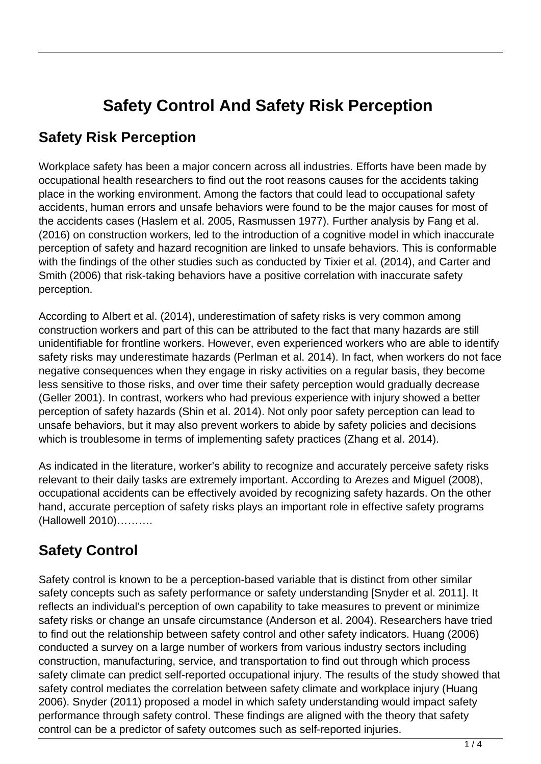# **Safety Control And Safety Risk Perception**

### **Safety Risk Perception**

Workplace safety has been a major concern across all industries. Efforts have been made by occupational health researchers to find out the root reasons causes for the accidents taking place in the working environment. Among the factors that could lead to occupational safety accidents, human errors and unsafe behaviors were found to be the major causes for most of the accidents cases (Haslem et al. 2005, Rasmussen 1977). Further analysis by Fang et al. (2016) on construction workers, led to the introduction of a cognitive model in which inaccurate perception of safety and hazard recognition are linked to unsafe behaviors. This is conformable with the findings of the other studies such as conducted by Tixier et al. (2014), and Carter and Smith (2006) that risk-taking behaviors have a positive correlation with inaccurate safety perception.

According to Albert et al. (2014), underestimation of safety risks is very common among construction workers and part of this can be attributed to the fact that many hazards are still unidentifiable for frontline workers. However, even experienced workers who are able to identify safety risks may underestimate hazards (Perlman et al. 2014). In fact, when workers do not face negative consequences when they engage in risky activities on a regular basis, they become less sensitive to those risks, and over time their safety perception would gradually decrease (Geller 2001). In contrast, workers who had previous experience with injury showed a better perception of safety hazards (Shin et al. 2014). Not only poor safety perception can lead to unsafe behaviors, but it may also prevent workers to abide by safety policies and decisions which is troublesome in terms of implementing safety practices (Zhang et al. 2014).

As indicated in the literature, worker's ability to recognize and accurately perceive safety risks relevant to their daily tasks are extremely important. According to Arezes and Miguel (2008), occupational accidents can be effectively avoided by recognizing safety hazards. On the other hand, accurate perception of safety risks plays an important role in effective safety programs (Hallowell 2010)……….

## **Safety Control**

Safety control is known to be a perception-based variable that is distinct from other similar safety concepts such as safety performance or safety understanding [Snyder et al. 2011]. It reflects an individual's perception of own capability to take measures to prevent or minimize safety risks or change an unsafe circumstance (Anderson et al. 2004). Researchers have tried to find out the relationship between safety control and other safety indicators. Huang (2006) conducted a survey on a large number of workers from various industry sectors including construction, manufacturing, service, and transportation to find out through which process safety climate can predict self-reported occupational injury. The results of the study showed that safety control mediates the correlation between safety climate and workplace injury (Huang 2006). Snyder (2011) proposed a model in which safety understanding would impact safety performance through safety control. These findings are aligned with the theory that safety control can be a predictor of safety outcomes such as self-reported injuries.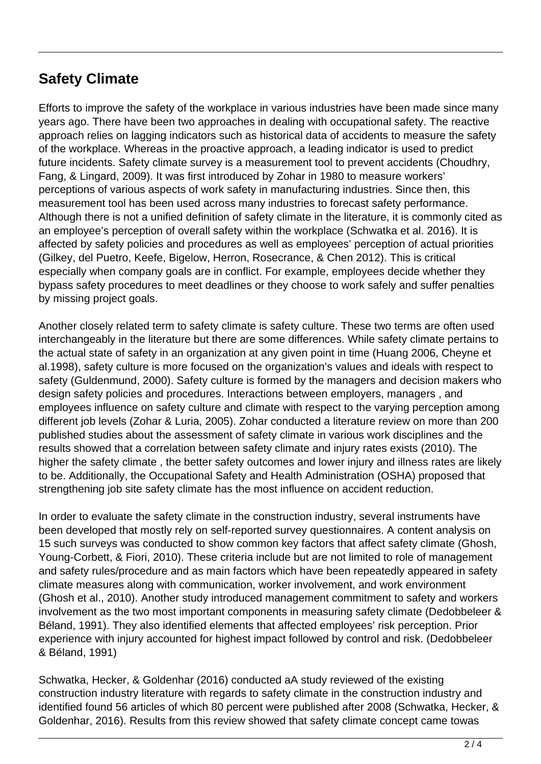### **Safety Climate**

Efforts to improve the safety of the workplace in various industries have been made since many years ago. There have been two approaches in dealing with occupational safety. The reactive approach relies on lagging indicators such as historical data of accidents to measure the safety of the workplace. Whereas in the proactive approach, a leading indicator is used to predict future incidents. Safety climate survey is a measurement tool to prevent accidents (Choudhry, Fang, & Lingard, 2009). It was first introduced by Zohar in 1980 to measure workers' perceptions of various aspects of work safety in manufacturing industries. Since then, this measurement tool has been used across many industries to forecast safety performance. Although there is not a unified definition of safety climate in the literature, it is commonly cited as an employee's perception of overall safety within the workplace (Schwatka et al. 2016). It is affected by safety policies and procedures as well as employees' perception of actual priorities (Gilkey, del Puetro, Keefe, Bigelow, Herron, Rosecrance, & Chen 2012). This is critical especially when company goals are in conflict. For example, employees decide whether they bypass safety procedures to meet deadlines or they choose to work safely and suffer penalties by missing project goals.

Another closely related term to safety climate is safety culture. These two terms are often used interchangeably in the literature but there are some differences. While safety climate pertains to the actual state of safety in an organization at any given point in time (Huang 2006, Cheyne et al.1998), safety culture is more focused on the organization's values and ideals with respect to safety (Guldenmund, 2000). Safety culture is formed by the managers and decision makers who design safety policies and procedures. Interactions between employers, managers , and employees influence on safety culture and climate with respect to the varying perception among different job levels (Zohar & Luria, 2005). Zohar conducted a literature review on more than 200 published studies about the assessment of safety climate in various work disciplines and the results showed that a correlation between safety climate and injury rates exists (2010). The higher the safety climate , the better safety outcomes and lower injury and illness rates are likely to be. Additionally, the Occupational Safety and Health Administration (OSHA) proposed that strengthening job site safety climate has the most influence on accident reduction.

In order to evaluate the safety climate in the construction industry, several instruments have been developed that mostly rely on self-reported survey questionnaires. A content analysis on 15 such surveys was conducted to show common key factors that affect safety climate (Ghosh, Young-Corbett, & Fiori, 2010). These criteria include but are not limited to role of management and safety rules/procedure and as main factors which have been repeatedly appeared in safety climate measures along with communication, worker involvement, and work environment (Ghosh et al., 2010). Another study introduced management commitment to safety and workers involvement as the two most important components in measuring safety climate (Dedobbeleer & Béland, 1991). They also identified elements that affected employees' risk perception. Prior experience with injury accounted for highest impact followed by control and risk. (Dedobbeleer & Béland, 1991)

Schwatka, Hecker, & Goldenhar (2016) conducted aA study reviewed of the existing construction industry literature with regards to safety climate in the construction industry and identified found 56 articles of which 80 percent were published after 2008 (Schwatka, Hecker, & Goldenhar, 2016). Results from this review showed that safety climate concept came towas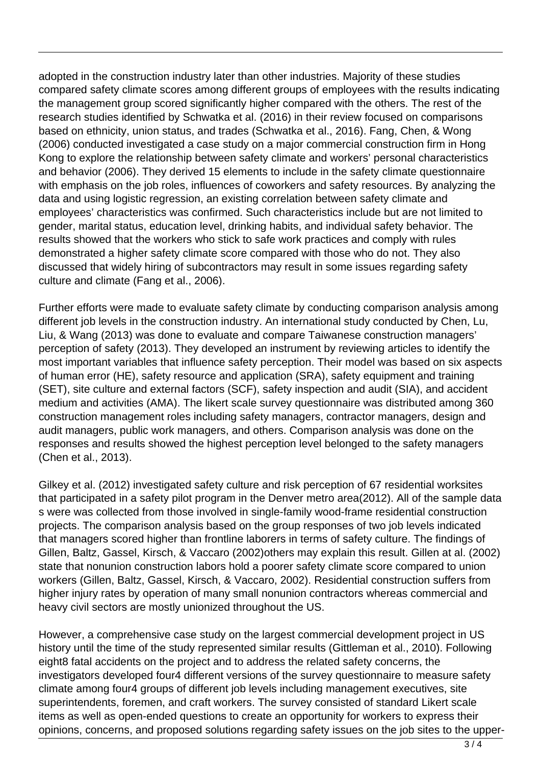adopted in the construction industry later than other industries. Majority of these studies compared safety climate scores among different groups of employees with the results indicating the management group scored significantly higher compared with the others. The rest of the research studies identified by Schwatka et al. (2016) in their review focused on comparisons based on ethnicity, union status, and trades (Schwatka et al., 2016). Fang, Chen, & Wong (2006) conducted investigated a case study on a major commercial construction firm in Hong Kong to explore the relationship between safety climate and workers' personal characteristics and behavior (2006). They derived 15 elements to include in the safety climate questionnaire with emphasis on the job roles, influences of coworkers and safety resources. By analyzing the data and using logistic regression, an existing correlation between safety climate and employees' characteristics was confirmed. Such characteristics include but are not limited to gender, marital status, education level, drinking habits, and individual safety behavior. The results showed that the workers who stick to safe work practices and comply with rules demonstrated a higher safety climate score compared with those who do not. They also discussed that widely hiring of subcontractors may result in some issues regarding safety culture and climate (Fang et al., 2006).

Further efforts were made to evaluate safety climate by conducting comparison analysis among different job levels in the construction industry. An international study conducted by Chen, Lu, Liu, & Wang (2013) was done to evaluate and compare Taiwanese construction managers' perception of safety (2013). They developed an instrument by reviewing articles to identify the most important variables that influence safety perception. Their model was based on six aspects of human error (HE), safety resource and application (SRA), safety equipment and training (SET), site culture and external factors (SCF), safety inspection and audit (SIA), and accident medium and activities (AMA). The likert scale survey questionnaire was distributed among 360 construction management roles including safety managers, contractor managers, design and audit managers, public work managers, and others. Comparison analysis was done on the responses and results showed the highest perception level belonged to the safety managers (Chen et al., 2013).

Gilkey et al. (2012) investigated safety culture and risk perception of 67 residential worksites that participated in a safety pilot program in the Denver metro area(2012). All of the sample data s were was collected from those involved in single-family wood-frame residential construction projects. The comparison analysis based on the group responses of two job levels indicated that managers scored higher than frontline laborers in terms of safety culture. The findings of Gillen, Baltz, Gassel, Kirsch, & Vaccaro (2002)others may explain this result. Gillen at al. (2002) state that nonunion construction labors hold a poorer safety climate score compared to union workers (Gillen, Baltz, Gassel, Kirsch, & Vaccaro, 2002). Residential construction suffers from higher injury rates by operation of many small nonunion contractors whereas commercial and heavy civil sectors are mostly unionized throughout the US.

However, a comprehensive case study on the largest commercial development project in US history until the time of the study represented similar results (Gittleman et al., 2010). Following eight8 fatal accidents on the project and to address the related safety concerns, the investigators developed four4 different versions of the survey questionnaire to measure safety climate among four4 groups of different job levels including management executives, site superintendents, foremen, and craft workers. The survey consisted of standard Likert scale items as well as open-ended questions to create an opportunity for workers to express their opinions, concerns, and proposed solutions regarding safety issues on the job sites to the upper-